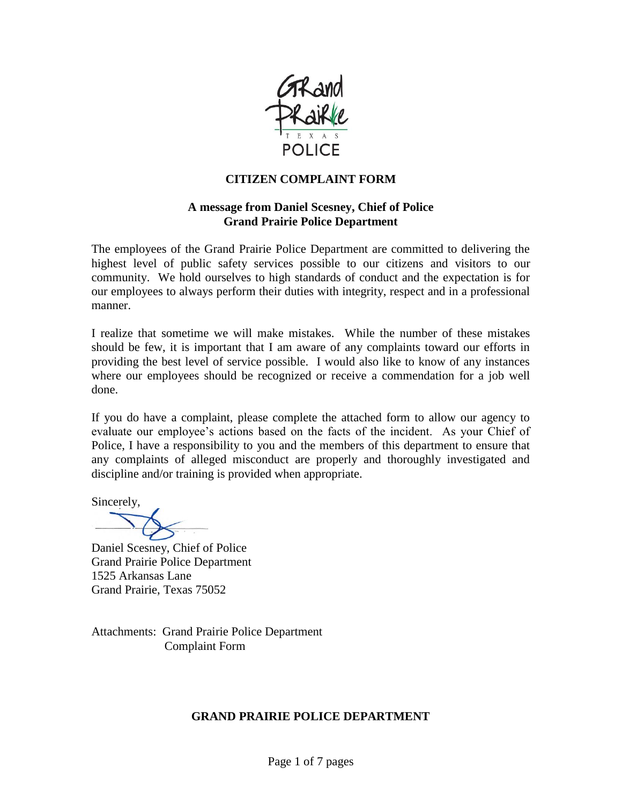

### **CITIZEN COMPLAINT FORM**

### **A message from Daniel Scesney, Chief of Police Grand Prairie Police Department**

The employees of the Grand Prairie Police Department are committed to delivering the highest level of public safety services possible to our citizens and visitors to our community. We hold ourselves to high standards of conduct and the expectation is for our employees to always perform their duties with integrity, respect and in a professional manner.

I realize that sometime we will make mistakes. While the number of these mistakes should be few, it is important that I am aware of any complaints toward our efforts in providing the best level of service possible. I would also like to know of any instances where our employees should be recognized or receive a commendation for a job well done.

If you do have a complaint, please complete the attached form to allow our agency to evaluate our employee's actions based on the facts of the incident. As your Chief of Police, I have a responsibility to you and the members of this department to ensure that any complaints of alleged misconduct are properly and thoroughly investigated and discipline and/or training is provided when appropriate.

Sincerely,

Daniel Scesney, Chief of Police Grand Prairie Police Department 1525 Arkansas Lane Grand Prairie, Texas 75052

Attachments: Grand Prairie Police Department Complaint Form

### **GRAND PRAIRIE POLICE DEPARTMENT**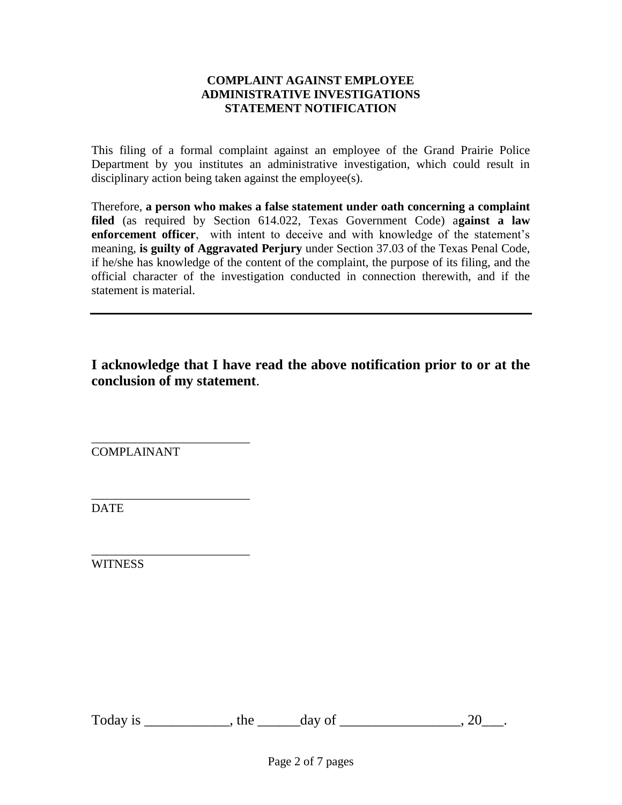#### **COMPLAINT AGAINST EMPLOYEE ADMINISTRATIVE INVESTIGATIONS STATEMENT NOTIFICATION**

This filing of a formal complaint against an employee of the Grand Prairie Police Department by you institutes an administrative investigation, which could result in disciplinary action being taken against the employee(s).

Therefore, **a person who makes a false statement under oath concerning a complaint filed** (as required by Section 614.022, Texas Government Code) a**gainst a law enforcement officer**, with intent to deceive and with knowledge of the statement's meaning, **is guilty of Aggravated Perjury** under Section 37.03 of the Texas Penal Code, if he/she has knowledge of the content of the complaint, the purpose of its filing, and the official character of the investigation conducted in connection therewith, and if the statement is material.

**I acknowledge that I have read the above notification prior to or at the conclusion of my statement**.

\_\_\_\_\_\_\_\_\_\_\_\_\_\_\_\_\_\_\_\_\_\_\_\_\_\_ COMPLAINANT

\_\_\_\_\_\_\_\_\_\_\_\_\_\_\_\_\_\_\_\_\_\_\_\_\_\_

DATE

\_\_\_\_\_\_\_\_\_\_\_\_\_\_\_\_\_\_\_\_\_\_\_\_\_\_ **WITNESS** 

Today is \_\_\_\_\_\_\_\_\_\_\_, the \_\_\_\_\_\_day of \_\_\_\_\_\_\_\_\_\_\_\_\_\_\_, 20\_\_\_.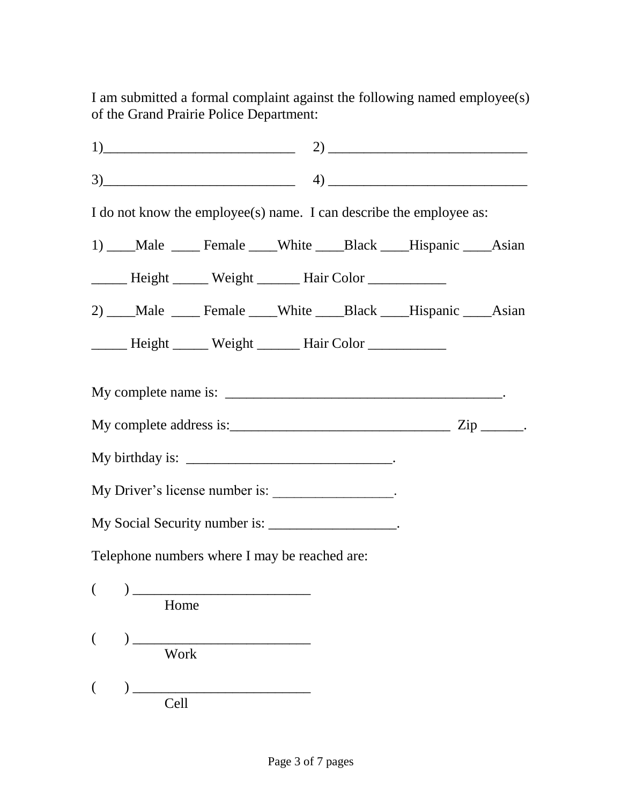I am submitted a formal complaint against the following named employee(s) of the Grand Prairie Police Department:

|      |                                                                                                                                                                                                                                                                                                                                                     |  | $1) \qquad \qquad 2) \qquad \qquad 2)$                                                              |  |
|------|-----------------------------------------------------------------------------------------------------------------------------------------------------------------------------------------------------------------------------------------------------------------------------------------------------------------------------------------------------|--|-----------------------------------------------------------------------------------------------------|--|
|      |                                                                                                                                                                                                                                                                                                                                                     |  | $\left( \begin{array}{cc} 3) \end{array} \right)$ $\left( \begin{array}{cc} 4) \end{array} \right)$ |  |
|      |                                                                                                                                                                                                                                                                                                                                                     |  | I do not know the employee(s) name. I can describe the employee as:                                 |  |
|      |                                                                                                                                                                                                                                                                                                                                                     |  | 1) ___Male ____Female ___White ___Black ___Hispanic ___Asian                                        |  |
|      | Height Weight Hair Color                                                                                                                                                                                                                                                                                                                            |  |                                                                                                     |  |
|      |                                                                                                                                                                                                                                                                                                                                                     |  | 2) ___Male ____Female ___White ___Black ___Hispanic ___Asian                                        |  |
|      | Height Weight Hair Color                                                                                                                                                                                                                                                                                                                            |  |                                                                                                     |  |
|      |                                                                                                                                                                                                                                                                                                                                                     |  |                                                                                                     |  |
|      |                                                                                                                                                                                                                                                                                                                                                     |  |                                                                                                     |  |
|      | My Driver's license number is: ________________.                                                                                                                                                                                                                                                                                                    |  |                                                                                                     |  |
|      | My Social Security number is: __________________.                                                                                                                                                                                                                                                                                                   |  |                                                                                                     |  |
|      | Telephone numbers where I may be reached are:                                                                                                                                                                                                                                                                                                       |  |                                                                                                     |  |
| Home | $\begin{picture}(150,10) \put(0,0){\line(1,0){10}} \put(15,0){\line(1,0){10}} \put(15,0){\line(1,0){10}} \put(15,0){\line(1,0){10}} \put(15,0){\line(1,0){10}} \put(15,0){\line(1,0){10}} \put(15,0){\line(1,0){10}} \put(15,0){\line(1,0){10}} \put(15,0){\line(1,0){10}} \put(15,0){\line(1,0){10}} \put(15,0){\line(1,0){10}} \put(15,0){\line($ |  |                                                                                                     |  |
| Work |                                                                                                                                                                                                                                                                                                                                                     |  |                                                                                                     |  |
| Cell |                                                                                                                                                                                                                                                                                                                                                     |  |                                                                                                     |  |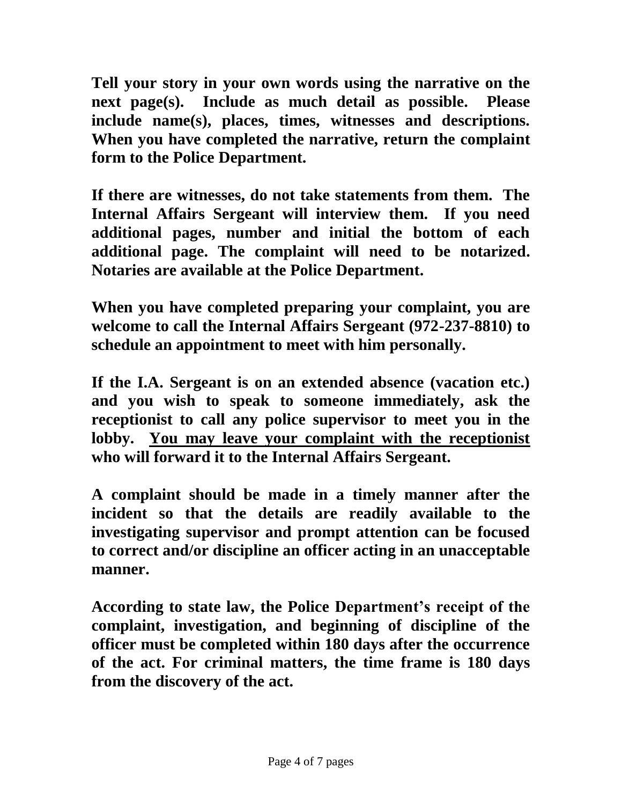**Tell your story in your own words using the narrative on the next page(s). Include as much detail as possible. Please include name(s), places, times, witnesses and descriptions. When you have completed the narrative, return the complaint form to the Police Department.**

**If there are witnesses, do not take statements from them. The Internal Affairs Sergeant will interview them. If you need additional pages, number and initial the bottom of each additional page. The complaint will need to be notarized. Notaries are available at the Police Department.**

**When you have completed preparing your complaint, you are welcome to call the Internal Affairs Sergeant (972-237-8810) to schedule an appointment to meet with him personally.** 

**If the I.A. Sergeant is on an extended absence (vacation etc.) and you wish to speak to someone immediately, ask the receptionist to call any police supervisor to meet you in the lobby. You may leave your complaint with the receptionist who will forward it to the Internal Affairs Sergeant.** 

**A complaint should be made in a timely manner after the incident so that the details are readily available to the investigating supervisor and prompt attention can be focused to correct and/or discipline an officer acting in an unacceptable manner.** 

**According to state law, the Police Department's receipt of the complaint, investigation, and beginning of discipline of the officer must be completed within 180 days after the occurrence of the act. For criminal matters, the time frame is 180 days from the discovery of the act.**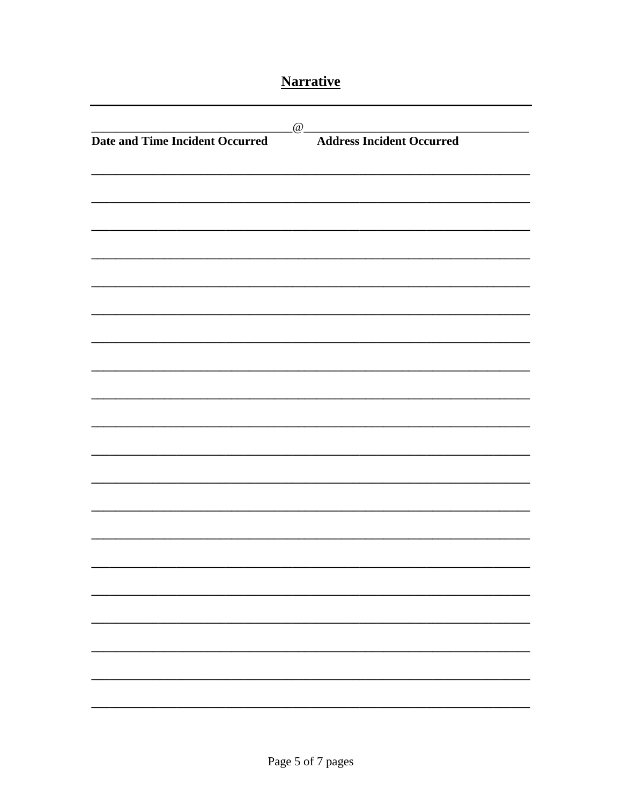# **Narrative**

| <b>Date and Time Incident Occurred</b> | $\omega$ | <b>Address Incident Occurred</b> |  |
|----------------------------------------|----------|----------------------------------|--|
|                                        |          |                                  |  |
|                                        |          |                                  |  |
|                                        |          |                                  |  |
|                                        |          |                                  |  |
|                                        |          |                                  |  |
|                                        |          |                                  |  |
|                                        |          |                                  |  |
|                                        |          |                                  |  |
|                                        |          |                                  |  |
|                                        |          |                                  |  |
|                                        |          |                                  |  |
|                                        |          |                                  |  |
|                                        |          |                                  |  |
|                                        |          |                                  |  |
|                                        |          |                                  |  |
|                                        |          |                                  |  |
|                                        |          |                                  |  |
|                                        |          |                                  |  |
|                                        |          |                                  |  |
|                                        |          |                                  |  |
|                                        |          |                                  |  |
|                                        |          |                                  |  |
|                                        |          |                                  |  |
|                                        |          |                                  |  |
|                                        |          |                                  |  |
|                                        |          |                                  |  |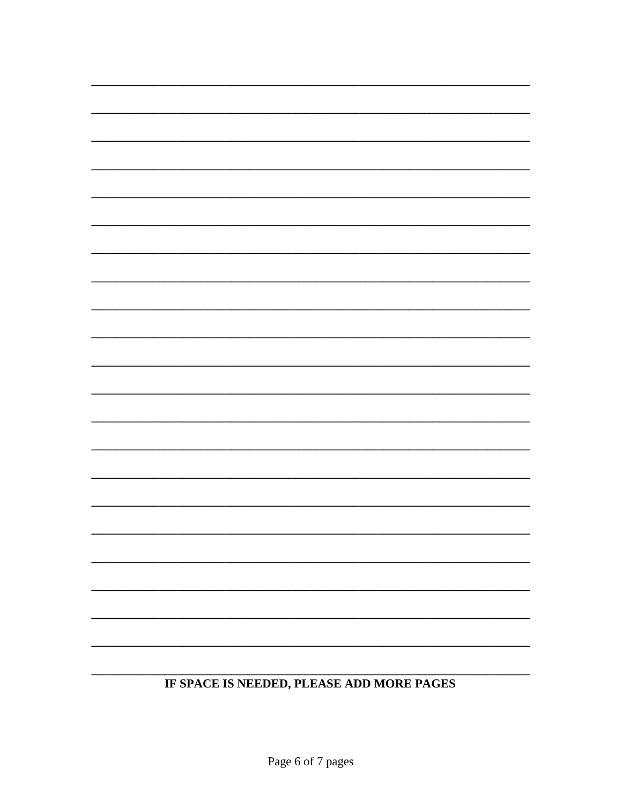## IF SPACE IS NEEDED, PLEASE ADD MORE PAGES

▃

### Page 6 of 7 pages